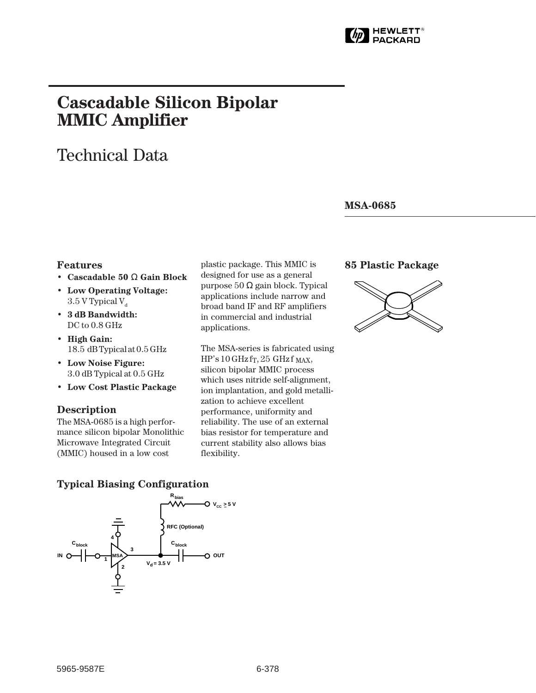

# **Cascadable Silicon Bipolar MMIC␣ Amplifier**

# Technical Data

#### **MSA-0685**

#### **Features**

- **Cascadable 50** Ω **Gain Block**
- **Low Operating Voltage:**  $3.5$  V Typical V<sub>d</sub>
- **3 dB Bandwidth:** DC to  $0.8$  GHz
- **High Gain:** 18.5␣ dB Typical at 0.5 GHz
- **Low Noise Figure:** 3.0 dB Typical at 0.5 GHz
- **Low Cost Plastic Package**

#### **Description**

The MSA-0685 is a high performance silicon bipolar Monolithic Microwave Integrated Circuit (MMIC) housed in a low cost

plastic package. This MMIC is designed for use as a general purpose 50 Ω gain block. Typical applications include narrow and broad band IF and RF amplifiers in commercial and industrial applications.

The MSA-series is fabricated using  $HP's 10 GHz$  fr, 25 GHz f MAX, silicon bipolar MMIC process which uses nitride self-alignment, ion implantation, and gold metallization to achieve excellent performance, uniformity and reliability. The use of an external bias resistor for temperature and current stability also allows bias flexibility.

#### **85 Plastic Package**



#### **Typical Biasing Configuration**

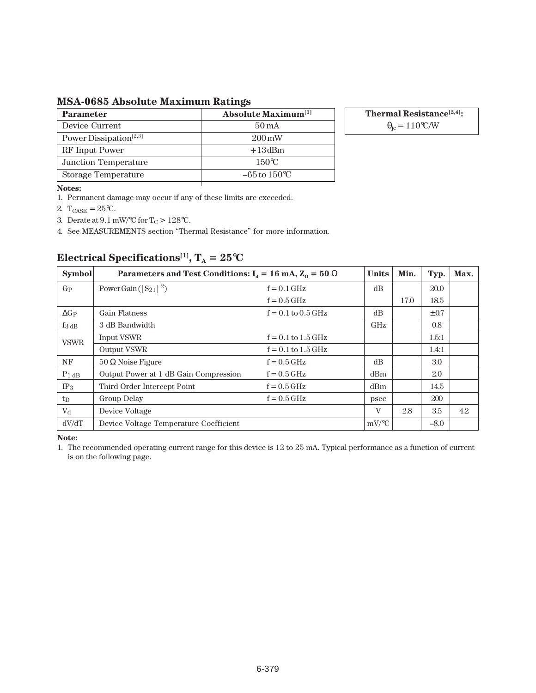**MSA-0685 Absolute Maximum Ratings**

| <b>Parameter</b>                   | <b>Absolute Maximum</b> <sup>[1]</sup> |
|------------------------------------|----------------------------------------|
| Device Current                     | $50 \,\mathrm{mA}$                     |
| Power Dissipation <sup>[2,3]</sup> | $200 \,\mathrm{mW}$                    |
| RF Input Power                     | $+13$ dBm                              |
| Junction Temperature               | $150^{\circ}$ C                        |
| Storage Temperature                | $-65$ to $150^{\circ}$ C               |

**Thermal Resistance[2,4]:**  $\theta_{\rm jc} = 110\degree\text{C/W}$ 

**Notes:**

1. Permanent damage may occur if any of these limits are exceeded.

2.  $T_{CASE} = 25$ °C.

3. Derate at  $9.1\,\mathrm{mW}/^{\circ}\mathrm{C}$  for T<sub>C</sub>  $>128^{\circ}\mathrm{C}.$ 

4. See MEASUREMENTS section "Thermal Resistance" for more information.

| <b>Symbol</b>       | Parameters and Test Conditions: $I_d = 16 \text{ mA}, Z_0 = 50 \Omega$ | <b>Units</b>           | Min.         | Typ. | Max.      |     |
|---------------------|------------------------------------------------------------------------|------------------------|--------------|------|-----------|-----|
| $G_{P}$             | Power Gain ( $ S_{21} ^2$ )                                            | $f = 0.1$ GHz          |              |      | 20.0      |     |
|                     |                                                                        | $f = 0.5$ GHz          |              | 17.0 | 18.5      |     |
| $\Delta G_P$        | <b>Gain Flatness</b>                                                   | $f = 0.1$ to $0.5$ GHz | dB           |      | $\pm 0.7$ |     |
| $f_3$ <sub>dB</sub> | 3 dB Bandwidth                                                         |                        | GHz          |      | 0.8       |     |
| <b>VSWR</b>         | Input VSWR                                                             | $f = 0.1$ to $1.5$ GHz |              |      | 1.5:1     |     |
|                     | Output VSWR                                                            | $f = 0.1$ to $1.5$ GHz |              |      | 1.4:1     |     |
| NF                  | $50 \Omega$ Noise Figure                                               | $f = 0.5$ GHz          | dB           |      | 3.0       |     |
| $P_1$ dB            | Output Power at 1 dB Gain Compression                                  | $f = 0.5$ GHz          | dBm          |      | 2.0       |     |
| IP <sub>3</sub>     | Third Order Intercept Point                                            | $f = 0.5$ GHz          | dBm          |      | 14.5      |     |
| $t_{\rm D}$         | Group Delay                                                            | $f = 0.5$ GHz          | psec         |      | 200       |     |
| V <sub>d</sub>      | Device Voltage                                                         |                        | $\mathbf{V}$ | 2.8  | 3.5       | 4.2 |
| dV/dT               | Device Voltage Temperature Coefficient                                 |                        | $mV$ /°C     |      | $-8.0$    |     |

### **Electrical Specifications<sup>[1]</sup>,**  $T_A = 25$ **°C**

**Note:**

1. The recommended operating current range for this device is 12 to 25 mA. Typical performance as a function of current is on the following page.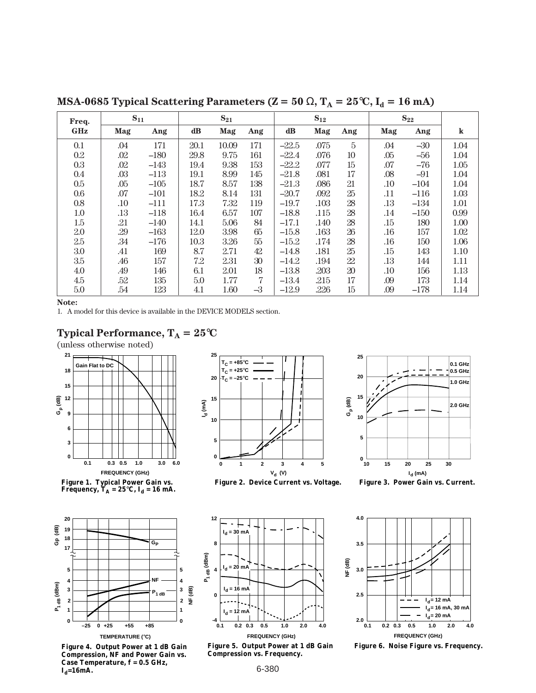| Freq.      | $S_{11}$ |        | $S_{21}$      |       | $S_{12}$ |         |      | $S_{22}$       |         |        |         |
|------------|----------|--------|---------------|-------|----------|---------|------|----------------|---------|--------|---------|
| <b>GHz</b> | Mag      | Ang    | $\mathbf{dB}$ | Mag   | Ang      | dB      | Mag  | Ang            | Mag     | Ang    | $\bf k$ |
| 0.1        | .04      | 171    | 20.1          | 10.09 | 171      | $-22.5$ | .075 | $\overline{5}$ | .04     | $-30$  | 1.04    |
| 0.2        | .02      | $-180$ | 29.8          | 9.75  | 161      | $-22.4$ | .076 | 10             | .05     | $-56$  | 1.04    |
| 0.3        | .02      | $-143$ | 19.4          | 9.38  | 153      | $-22.2$ | .077 | 15             | .07     | $-76$  | 1.05    |
| 0.4        | .03      | $-113$ | 19.1          | 8.99  | 145      | $-21.8$ | .081 | 17             | .08     | $-91$  | 1.04    |
| $0.5\,$    | .05      | $-105$ | 18.7          | 8.57  | 138      | $-21.3$ | .086 | 21             | .10     | $-104$ | 1.04    |
| 0.6        | .07      | $-101$ | 18.2          | 8.14  | 131      | $-20.7$ | .092 | 25             | .11     | $-116$ | 1.03    |
| 0.8        | .10      | $-111$ | 17.3          | 7.32  | 119      | $-19.7$ | .103 | 28             | .13     | $-134$ | 1.01    |
| 1.0        | .13      | $-118$ | 16.4          | 6.57  | 107      | $-18.8$ | .115 | 28             | .14     | $-150$ | 0.99    |
| 1.5        | .21      | $-140$ | 14.1          | 5.06  | 84       | $-17.1$ | .140 | 28             | .15     | 180    | 1.00    |
| 2.0        | .29      | $-163$ | 12.0          | 3.98  | 65       | $-15.8$ | .163 | $26\,$         | .16     | 157    | 1.02    |
| 2.5        | .34      | $-176$ | 10.3          | 3.26  | 55       | $-15.2$ | .174 | 28             | $.16\,$ | 150    | 1.06    |
| 3.0        | .41      | 169    | 8.7           | 2.71  | 42       | $-14.8$ | .181 | 25             | .15     | 143    | 1.10    |
| 3.5        | .46      | 157    | 7.2           | 2.31  | 30       | $-14.2$ | .194 | 22             | .13     | 144    | 1.11    |
| 4.0        | .49      | 146    | 6.1           | 2.01  | 18       | $-13.8$ | .203 | 20             | .10     | 156    | 1.13    |
| 4.5        | .52      | 135    | 5.0           | 1.77  | 7        | $-13.4$ | .215 | 17             | .09     | 173    | 1.14    |
| 5.0        | .54      | 123    | 4.1           | 1.60  | $-3$     | $-12.9$ | .226 | 15             | .09     | $-178$ | 1.14    |

**MSA-0685 Typical Scattering Parameters (Z = 50**  $\Omega$ **, T<sub>A</sub> = 25 °C, I<sub>d</sub> = 16 mA)** 

**Note:**

1. A model for this device is available in the DEVICE MODELS section.







**Figure 1. Typical Power Gain vs.**  Frequency, T<sub>A</sub> = 25°C, I<sub>d</sub> = 16 mA.



**Figure 4. Output Power at 1 dB Gain Compression, NF and Power Gain vs. Case Temperature, f = 0.5 GHz,**   $I_d = 16mA$ .



**I**<sub>d</sub> (mA)  $^{0}$   $^{1}_{10}$ **5 10 15 20 25 Gp (dB) 10 20 25 30 15 0.1 GHz 0.5 GHz 1.0 GHz 2.0 GHz**

**Figure 2. Device Current vs. Voltage. Figure 3. Power Gain vs. Current.**



**Figure 5. Output Power at 1 dB Gain Compression vs. Frequency.**